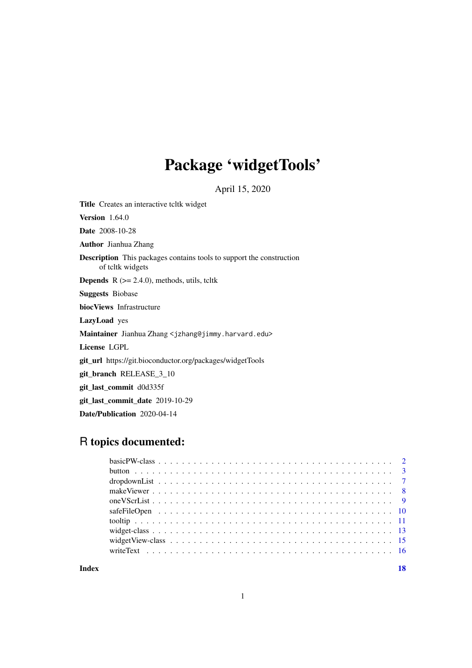## Package 'widgetTools'

April 15, 2020

<span id="page-0-0"></span>Title Creates an interactive tcltk widget

**Version** 1.64.0

Date 2008-10-28

Author Jianhua Zhang

Description This packages contains tools to support the construction of tcltk widgets

**Depends**  $R$  ( $>= 2.4.0$ ), methods, utils, tcltk

Suggests Biobase

biocViews Infrastructure

LazyLoad yes

Maintainer Jianhua Zhang <jzhang@jimmy.harvard.edu>

License LGPL

git\_url https://git.bioconductor.org/packages/widgetTools

git\_branch RELEASE\_3\_10

git\_last\_commit d0d335f

git\_last\_commit\_date 2019-10-29

Date/Publication 2020-04-14

## R topics documented:

**Index** 2008 **[18](#page-17-0)**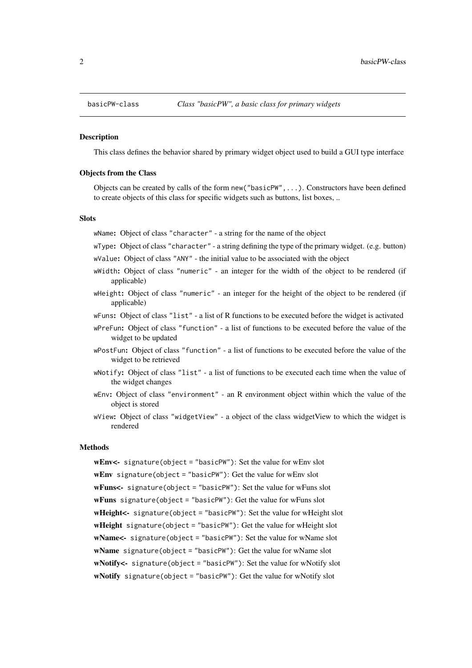#### <span id="page-1-1"></span><span id="page-1-0"></span>Description

This class defines the behavior shared by primary widget object used to build a GUI type interface

#### Objects from the Class

Objects can be created by calls of the form new("basicPW",...). Constructors have been defined to create objects of this class for specific widgets such as buttons, list boxes, ..

## **Slots**

wName: Object of class "character" - a string for the name of the object

- wType: Object of class "character" a string defining the type of the primary widget. (e.g. button) wValue: Object of class "ANY" - the initial value to be associated with the object
- wWidth: Object of class "numeric" an integer for the width of the object to be rendered (if applicable)
- wHeight: Object of class "numeric" an integer for the height of the object to be rendered (if applicable)
- wFuns: Object of class "list" a list of R functions to be executed before the widget is activated
- wPreFun: Object of class "function" a list of functions to be executed before the value of the widget to be updated
- wPostFun: Object of class "function" a list of functions to be executed before the value of the widget to be retrieved
- wNotify: Object of class "list" a list of functions to be executed each time when the value of the widget changes
- wEnv: Object of class "environment" an R environment object within which the value of the object is stored
- wView: Object of class "widgetView" a object of the class widgetView to which the widget is rendered

#### Methods

wEnv<- signature(object = "basicPW"): Set the value for wEnv slot wEnv signature(object = "basicPW"): Get the value for wEnv slot wFuns<- signature(object = "basicPW"): Set the value for wFuns slot wFuns signature(object = "basicPW"): Get the value for wFuns slot wHeight<- signature(object = "basicPW"): Set the value for wHeight slot wHeight signature(object = "basicPW"): Get the value for wHeight slot wName<- signature(object = "basicPW"): Set the value for wName slot wName signature(object = "basicPW"): Get the value for wName slot wNotify<- signature(object = "basicPW"): Set the value for wNotify slot wNotify signature(object = "basicPW"): Get the value for wNotify slot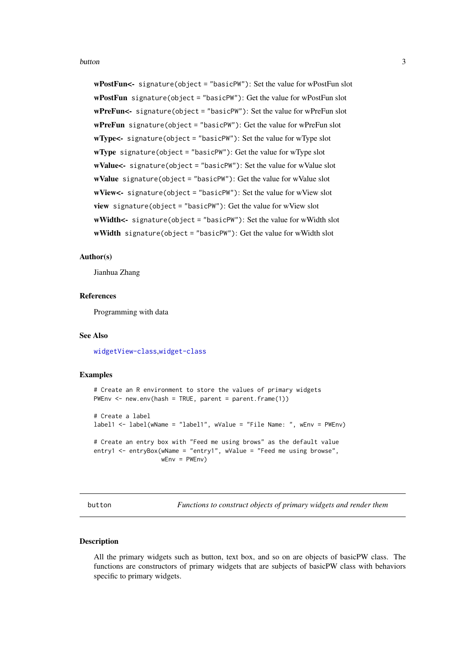#### <span id="page-2-0"></span>button 3

wPostFun<- signature(object = "basicPW"): Set the value for wPostFun slot wPostFun signature(object = "basicPW"): Get the value for wPostFun slot wPreFun<- signature(object = "basicPW"): Set the value for wPreFun slot wPreFun signature(object = "basicPW"): Get the value for wPreFun slot wType<- signature(object = "basicPW"): Set the value for wType slot wType signature(object = "basicPW"): Get the value for wType slot wValue<- signature(object = "basicPW"): Set the value for wValue slot wValue signature(object = "basicPW"): Get the value for wValue slot wView<- signature(object = "basicPW"): Set the value for wView slot view signature(object = "basicPW"): Get the value for wView slot wWidth<- signature(object = "basicPW"): Set the value for wWidth slot wWidth signature(object = "basicPW"): Get the value for wWidth slot

## Author(s)

Jianhua Zhang

#### References

Programming with data

#### See Also

[widgetView-class](#page-14-1),[widget-class](#page-12-1)

#### Examples

```
# Create an R environment to store the values of primary widgets
PWEnv \leq new.env(hash = TRUE, parent = parent.frame(1))
# Create a label
label1 <- label(wName = "label1", wValue = "File Name: ", wEnv = PWEnv)
# Create an entry box with "Feed me using brows" as the default value
entry1 <- entryBox(wName = "entry1", wValue = "Feed me using browse",
                   wEnv = PWEnv
```
<span id="page-2-2"></span>button *Functions to construct objects of primary widgets and render them*

#### <span id="page-2-1"></span>**Description**

All the primary widgets such as button, text box, and so on are objects of basicPW class. The functions are constructors of primary widgets that are subjects of basicPW class with behaviors specific to primary widgets.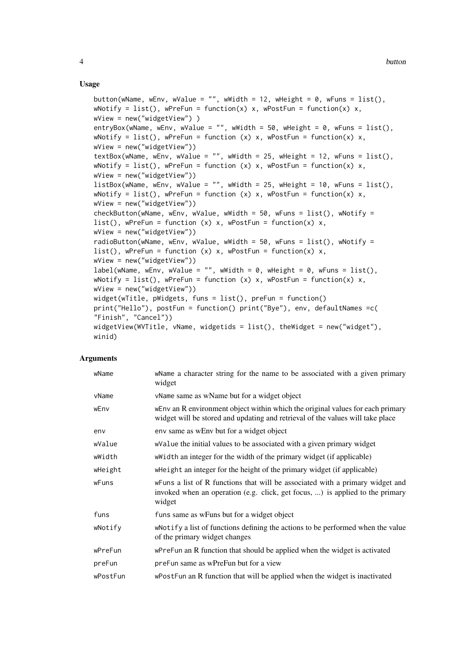## Usage

```
button(wName, wEnv, wValue = "", wWidth = 12, wHeight = 0, wFuns = list(),
wNotify = list(), wPreFun = function(x) x, wPostFun = function(x) x,
wView = new("widgetView") )
entryBox(wName, wEnv, wValue = "", wWidth = 50, wHeight = 0, wFuns = list(),
wNotify = list(), wPreFun = function (x) x, wPostFun = function(x) x,
wView = new("widgetView"))
textBox(wName, wEnv, wValue = "", wWidth = 25, wHeight = 12, wFuns = list(),
wNotify = list(), wPreFun = function (x) x, wPostFun = function(x) x,
wView = new("widgetView"))
listBox(wName, wEnv, wValue = "", wWidth = 25, wHeight = 10, wFuns = list(),
wNotify = list(), wPreFun = function (x) x, wPostFun = function(x) x,
wView = new("widgetView"))
checkButton(wName, wEnv, wValue, wWidth = 50, wFuns = list(), wNotify =
list(), wPreFun = function (x) x, wPostFun = function(x) x,
wView = new("widgetView"))
radioButton(wName, wEnv, wValue, wWidth = 50, wFuns = list(), wNotify =
list(), wPreFun = function (x) x, wPostFun = function(x) x,
wView = new("widgetView"))
label(wName, wEnv, wValue = "", wWidth = \theta, wHeight = \theta, wFuns = list(),
wNotify = list(), wPreFun = function (x) x, wPostFun = function(x) x,
wView = new("widgetView"))
widget(wTitle, pWidgets, funs = list(), preFun = function()
print("Hello"), postFun = function() print("Bye"), env, defaultNames =c(
"Finish", "Cancel"))
widgetView(WVTitle, vName, widgetids = list(), theWidget = new("widget"),
winid)
```
#### Arguments

| wName    | wName a character string for the name to be associated with a given primary<br>widget                                                                                      |
|----------|----------------------------------------------------------------------------------------------------------------------------------------------------------------------------|
| vName    | vName same as wName but for a widget object                                                                                                                                |
| wEnv     | wEnv an R environment object within which the original values for each primary<br>widget will be stored and updating and retrieval of the values will take place           |
| env      | env same as wEnv but for a widget object                                                                                                                                   |
| wValue   | walue the initial values to be associated with a given primary widget                                                                                                      |
| wWidth   | whidth an integer for the width of the primary widget (if applicable)                                                                                                      |
| wHeight  | wheight an integer for the height of the primary widget (if applicable)                                                                                                    |
| wFuns    | we we are list of R functions that will be associated with a primary widget and<br>invoked when an operation (e.g. click, get focus, ) is applied to the primary<br>widget |
| funs     | funs same as we know but for a widget object                                                                                                                               |
| wNotify  | wNotify a list of functions defining the actions to be performed when the value<br>of the primary widget changes                                                           |
| wPreFun  | wPreFun an R function that should be applied when the widget is activated                                                                                                  |
| preFun   | preFun same as wPreFun but for a view                                                                                                                                      |
| wPostFun | wPostFun an R function that will be applied when the widget is inactivated                                                                                                 |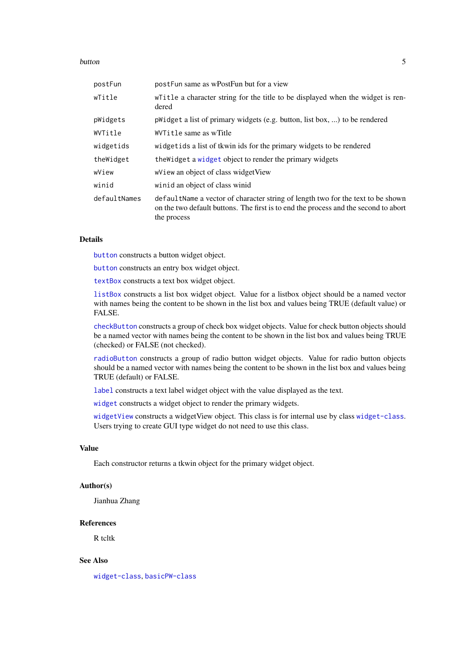#### <span id="page-4-0"></span>button 5 and 5 and 5 and 5 and 5 and 5 and 5 and 5 and 5 and 5 and 5 and 5 and 5 and 5 and 5 and 5 and 5 and 5 and 5 and 5 and 5 and 5 and 5 and 5 and 5 and 5 and 5 and 5 and 5 and 5 and 5 and 5 and 5 and 5 and 5 and 5 and

| postFun      | postFun same as wPostFun but for a view                                                                                                                                               |
|--------------|---------------------------------------------------------------------------------------------------------------------------------------------------------------------------------------|
| wTitle       | where the a character string for the title to be displayed when the widget is ren-<br>dered                                                                                           |
| pWidgets     | pWidget a list of primary widgets (e.g. button, list box, ) to be rendered                                                                                                            |
| WVTitle      | WVTitle same as wTitle                                                                                                                                                                |
| widgetids    | widgetids a list of the stort the primary widgets to be rendered                                                                                                                      |
| theWidget    | the Widget a widget object to render the primary widgets                                                                                                                              |
| wView        | wView an object of class widget View                                                                                                                                                  |
| winid        | winid an object of class winid                                                                                                                                                        |
| defaultNames | defaultName a vector of character string of length two for the text to be shown<br>on the two default buttons. The first is to end the process and the second to abort<br>the process |

## Details

[button](#page-2-2) constructs a button widget object.

[button](#page-2-2) constructs an entry box widget object.

[textBox](#page-2-1) constructs a text box widget object.

[listBox](#page-2-1) constructs a list box widget object. Value for a listbox object should be a named vector with names being the content to be shown in the list box and values being TRUE (default value) or FALSE.

[checkButton](#page-2-1) constructs a group of check box widget objects. Value for check button objects should be a named vector with names being the content to be shown in the list box and values being TRUE (checked) or FALSE (not checked).

[radioButton](#page-2-1) constructs a group of radio button widget objects. Value for radio button objects should be a named vector with names being the content to be shown in the list box and values being TRUE (default) or FALSE.

[label](#page-2-1) constructs a text label widget object with the value displayed as the text.

[widget](#page-2-1) constructs a widget object to render the primary widgets.

[widgetView](#page-2-1) constructs a widgetView object. This class is for internal use by class [widget-class](#page-12-1). Users trying to create GUI type widget do not need to use this class.

## Value

Each constructor returns a tkwin object for the primary widget object.

## Author(s)

Jianhua Zhang

#### References

R tcltk

## See Also

[widget-class](#page-12-1), [basicPW-class](#page-1-1)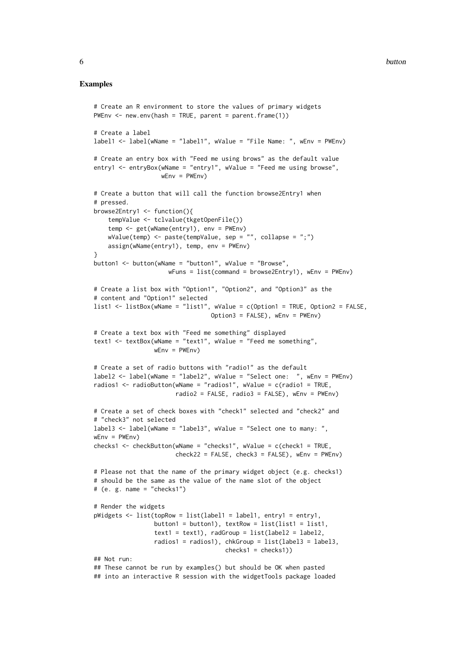#### Examples

```
# Create an R environment to store the values of primary widgets
PWEnv \leq new.env(hash = TRUE, parent = parent.frame(1))
# Create a label
label1 <- label(wName = "label1", wValue = "File Name: ", wEnv = PWEnv)
# Create an entry box with "Feed me using brows" as the default value
entry1 <- entryBox(wName = "entry1", wValue = "Feed me using browse",
                   wEnv = PWEnv# Create a button that will call the function browse2Entry1 when
# pressed.
browse2Entry1 <- function(){
    tempValue <- tclvalue(tkgetOpenFile())
    temp <- get(wName(entry1), env = PWEnv)
    wValue(temp) <- paste(tempValue, sep = "", collapse = ";")
    assign(wName(entry1), temp, env = PWEnv)
}
button1 <- button(wName = "button1", wValue = "Browse",
                     wFuns = list(command = browser2Entry1), wEnv = PWEnv)# Create a list box with "Option1", "Option2", and "Option3" as the
# content and "Option1" selected
list1 <- listBox(wName = "list1", wValue = c(Option1 = TRUE, Option2 = FALSE,
                                 Option3 = FALSE), wEnv = PWEnv)
# Create a text box with "Feed me something" displayed
text1 <- textBox(wName = "text1", wValue = "Feed me something",
                 wEnv = PWEnv# Create a set of radio buttons with "radio1" as the default
label2 <- label(wName = "label2", wValue = "Select one: ", wEnv = PWEnv)
radios1 <- radioButton(wName = "radios1", wValue = c(radio1 = TRUE,
                       radio2 = FALSE, radio3 = FALSE), wEnv = PWEnv)
# Create a set of check boxes with "check1" selected and "check2" and
# "check3" not selected
label3 <- label(wName = "label3", wValue = "Select one to many: ",
wEnv = PWEnvchecks1 <- checkButton(wName = "checks1", wValue = c(check1 = TRUE,
                       check22 = FALSE, check3 = FALSE), wEnv = PWEnv)# Please not that the name of the primary widget object (e.g. checks1)
# should be the same as the value of the name slot of the object
# (e. g. name = "checks1")
# Render the widgets
pWidgets <- list(topRow = list(label1 = label1, entry1 = entry1,
                 button1 = button1), textRow = list(list1 = list1,
                 text1 = text1), radGroup = list(label2 = label2,radios1 = radios1), chkGroup = list(label3 = label3,
                                     checks1 = checks1))
## Not run:
## These cannot be run by examples() but should be OK when pasted
## into an interactive R session with the widgetTools package loaded
```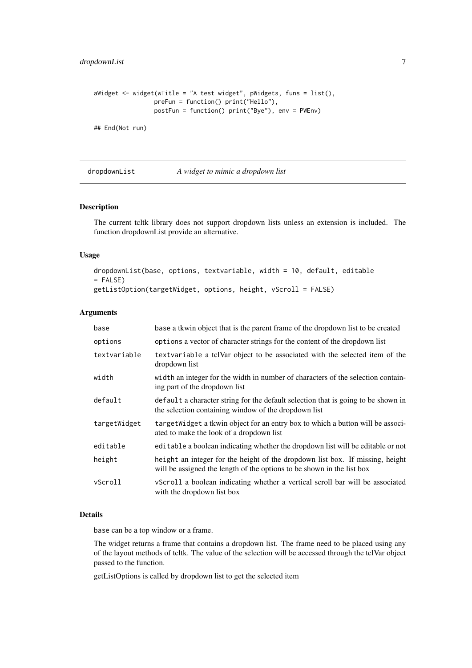<span id="page-6-0"></span>dropdownList 7

```
aWidget \leq widget(wTitle = "A test widget", pWidgets, funs = list(),
                 preFun = function() print("Hello"),
                 postFun = function() print("Bye"), env = PWEnv)
```
## End(Not run)

<span id="page-6-1"></span>dropdownList *A widget to mimic a dropdown list*

## Description

The current tcltk library does not support dropdown lists unless an extension is included. The function dropdownList provide an alternative.

## Usage

```
dropdownList(base, options, textvariable, width = 10, default, editable
= FALSE)
getListOption(targetWidget, options, height, vScroll = FALSE)
```
## Arguments

| base         | base a tkwin object that is the parent frame of the dropdown list to be created                                                                         |
|--------------|---------------------------------------------------------------------------------------------------------------------------------------------------------|
| options      | options a vector of character strings for the content of the dropdown list                                                                              |
| textvariable | text variable a tolvar object to be associated with the selected item of the<br>dropdown list                                                           |
| width        | width an integer for the width in number of characters of the selection contain-<br>ing part of the dropdown list                                       |
| default      | default a character string for the default selection that is going to be shown in<br>the selection containing window of the dropdown list               |
| targetWidget | targetWidget a tkwin object for an entry box to which a button will be associ-<br>ated to make the look of a dropdown list                              |
| editable     | editable a boolean indicating whether the dropdown list will be editable or not                                                                         |
| height       | height an integer for the height of the dropdown list box. If missing, height<br>will be assigned the length of the options to be shown in the list box |
| vScroll      | vScroll a boolean indicating whether a vertical scroll bar will be associated<br>with the dropdown list box                                             |

### Details

base can be a top window or a frame.

The widget returns a frame that contains a dropdown list. The frame need to be placed using any of the layout methods of tcltk. The value of the selection will be accessed through the tclVar object passed to the function.

getListOptions is called by dropdown list to get the selected item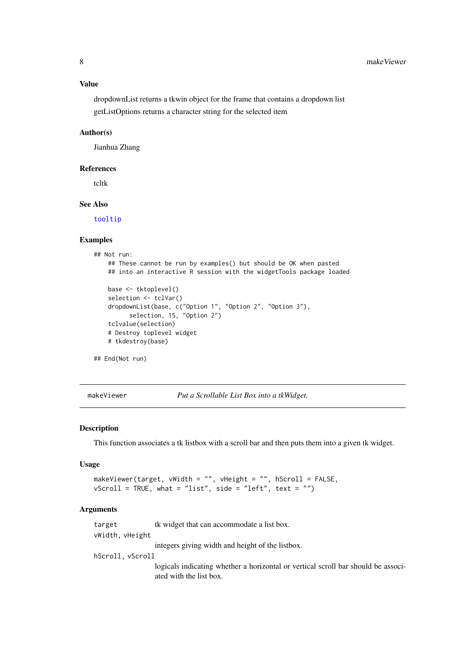#### <span id="page-7-0"></span>Value

dropdownList returns a tkwin object for the frame that contains a dropdown list getListOptions returns a character string for the selected item

#### Author(s)

Jianhua Zhang

#### References

tcltk

## See Also

[tooltip](#page-10-1)

## Examples

```
## Not run:
   ## These cannot be run by examples() but should be OK when pasted
   ## into an interactive R session with the widgetTools package loaded
   base <- tktoplevel()
   selection <- tclVar()
   dropdownList(base, c("Option 1", "Option 2", "Option 3"),
          selection, 15, "Option 2")
   tclvalue(selection)
   # Destroy toplevel widget
   # tkdestroy(base)
## End(Not run)
```
makeViewer *Put a Scrollable List Box into a tkWidget.*

#### Description

This function associates a tk listbox with a scroll bar and then puts them into a given tk widget.

## Usage

```
makeViewer(target, vWidth = "", vHeight = "", hScroll = FALSE,
vScroll = TRUE, what = "list", side = "left", text = "")
```
#### Arguments

target tk widget that can accommodate a list box. vWidth, vHeight integers giving width and height of the listbox. hScroll, vScroll logicals indicating whether a horizontal or vertical scroll bar should be associated with the list box.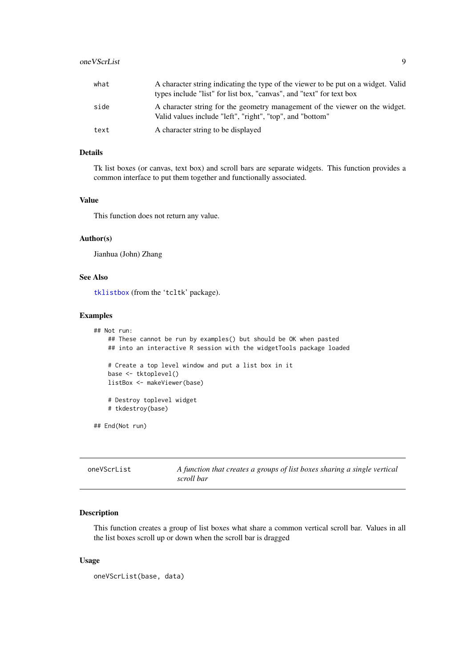## <span id="page-8-0"></span>oneVScrList 9

| what | A character string indicating the type of the viewer to be put on a widget. Valid<br>types include "list" for list box, "canvas", and "text" for text box |
|------|-----------------------------------------------------------------------------------------------------------------------------------------------------------|
| side | A character string for the geometry management of the viewer on the widget.<br>Valid values include "left", "right", "top", and "bottom"                  |
| text | A character string to be displayed                                                                                                                        |

## Details

Tk list boxes (or canvas, text box) and scroll bars are separate widgets. This function provides a common interface to put them together and functionally associated.

## Value

This function does not return any value.

## Author(s)

Jianhua (John) Zhang

## See Also

[tklistbox](#page-0-0) (from the 'tcltk' package).

#### Examples

```
## Not run:
    ## These cannot be run by examples() but should be OK when pasted
    ## into an interactive R session with the widgetTools package loaded
    # Create a top level window and put a list box in it
    base <- tktoplevel()
    listBox <- makeViewer(base)
    # Destroy toplevel widget
    # tkdestroy(base)
## End(Not run)
```

| oneVScrList | A function that creates a groups of list boxes sharing a single vertical |
|-------------|--------------------------------------------------------------------------|
|             | scroll bar                                                               |

## Description

This function creates a group of list boxes what share a common vertical scroll bar. Values in all the list boxes scroll up or down when the scroll bar is dragged

## Usage

oneVScrList(base, data)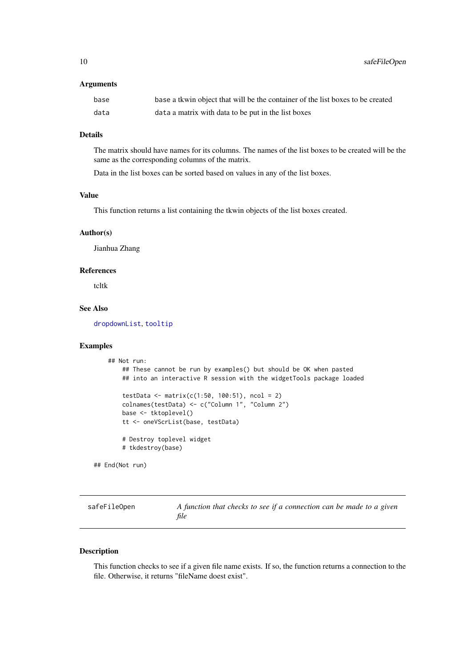<span id="page-9-0"></span>10 safeFileOpen

## Arguments

| base | base a tkwin object that will be the container of the list boxes to be created |
|------|--------------------------------------------------------------------------------|
| data | data a matrix with data to be put in the list boxes                            |

## Details

The matrix should have names for its columns. The names of the list boxes to be created will be the same as the corresponding columns of the matrix.

Data in the list boxes can be sorted based on values in any of the list boxes.

## Value

This function returns a list containing the tkwin objects of the list boxes created.

#### Author(s)

Jianhua Zhang

## References

tcltk

## See Also

[dropdownList](#page-6-1), [tooltip](#page-10-1)

## Examples

```
## Not run:
       ## These cannot be run by examples() but should be OK when pasted
       ## into an interactive R session with the widgetTools package loaded
       testData <- matrix(c(1:50, 100:51), ncol = 2)
       colnames(testData) <- c("Column 1", "Column 2")
       base <- tktoplevel()
       tt <- oneVScrList(base, testData)
       # Destroy toplevel widget
       # tkdestroy(base)
## End(Not run)
```

| safeFileOpen | A function that checks to see if a connection can be made to a given |
|--------------|----------------------------------------------------------------------|
|              | file                                                                 |

## Description

This function checks to see if a given file name exists. If so, the function returns a connection to the file. Otherwise, it returns "fileName doest exist".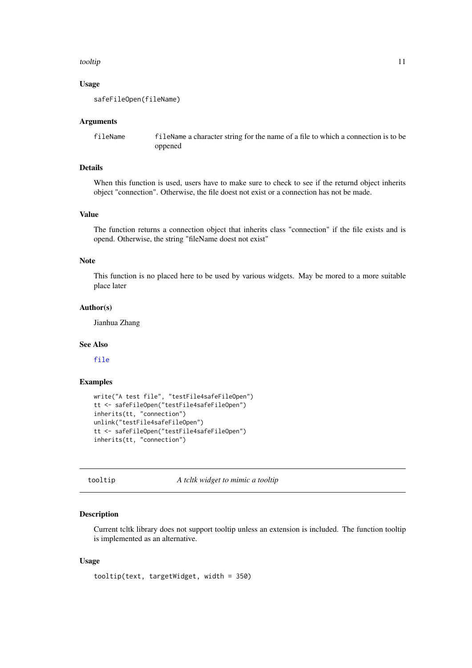#### <span id="page-10-0"></span>tooltip tool and the control of the control of the control of the control of the control of the control of the control of the control of the control of the control of the control of the control of the control of the contro

## Usage

safeFileOpen(fileName)

#### Arguments

fileName fileName a character string for the name of a file to which a connection is to be oppened

## Details

When this function is used, users have to make sure to check to see if the returnd object inherits object "connection". Otherwise, the file doest not exist or a connection has not be made.

## Value

The function returns a connection object that inherits class "connection" if the file exists and is opend. Otherwise, the string "fileName doest not exist"

## Note

This function is no placed here to be used by various widgets. May be mored to a more suitable place later

## Author(s)

Jianhua Zhang

#### See Also

[file](#page-0-0)

## Examples

```
write("A test file", "testFile4safeFileOpen")
tt <- safeFileOpen("testFile4safeFileOpen")
inherits(tt, "connection")
unlink("testFile4safeFileOpen")
tt <- safeFileOpen("testFile4safeFileOpen")
inherits(tt, "connection")
```
<span id="page-10-1"></span>tooltip *A tcltk widget to mimic a tooltip*

#### Description

Current tcltk library does not support tooltip unless an extension is included. The function tooltip is implemented as an alternative.

## Usage

tooltip(text, targetWidget, width = 350)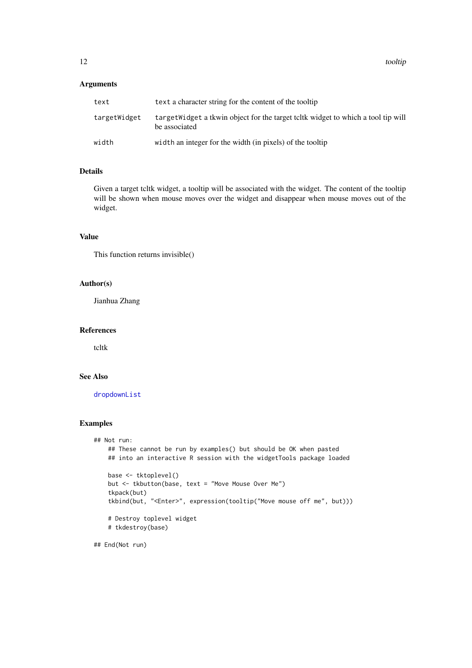## <span id="page-11-0"></span>Arguments

| text         | text a character string for the content of the tooltip                                            |
|--------------|---------------------------------------------------------------------------------------------------|
| targetWidget | target Widget a tkwin object for the target telt widget to which a tool tip will<br>be associated |
| width        | width an integer for the width (in pixels) of the tooltip                                         |

## Details

Given a target tcltk widget, a tooltip will be associated with the widget. The content of the tooltip will be shown when mouse moves over the widget and disappear when mouse moves out of the widget.

## Value

This function returns invisible()

## Author(s)

Jianhua Zhang

#### References

tcltk

## See Also

[dropdownList](#page-6-1)

## Examples

```
## Not run:
    ## These cannot be run by examples() but should be OK when pasted
    ## into an interactive R session with the widgetTools package loaded
   base <- tktoplevel()
    but <- tkbutton(base, text = "Move Mouse Over Me")
    tkpack(but)
    tkbind(but, "<Enter>", expression(tooltip("Move mouse off me", but)))
    # Destroy toplevel widget
    # tkdestroy(base)
```
## End(Not run)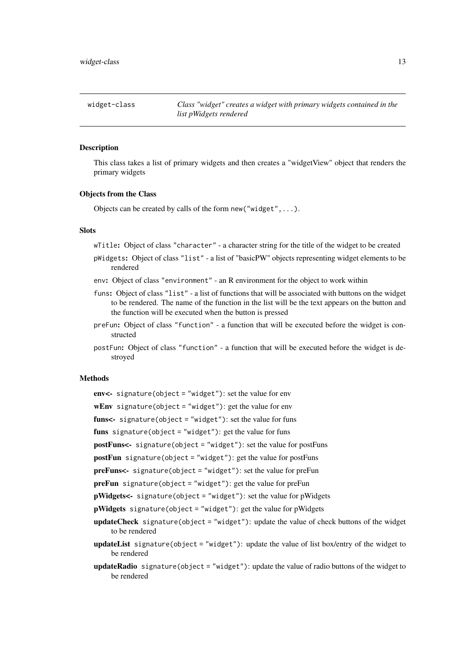<span id="page-12-1"></span><span id="page-12-0"></span>

| widget-class | Class "widget" creates a widget with primary widgets contained in the |
|--------------|-----------------------------------------------------------------------|
|              | list pWidgets rendered                                                |

#### Description

This class takes a list of primary widgets and then creates a "widgetView" object that renders the primary widgets

#### Objects from the Class

Objects can be created by calls of the form new ("widget", ... ).

#### Slots

wTitle: Object of class "character" - a character string for the title of the widget to be created

- pWidgets: Object of class "list" a list of "basicPW" objects representing widget elements to be rendered
- env: Object of class "environment" an R environment for the object to work within
- funs: Object of class "list" a list of functions that will be associated with buttons on the widget to be rendered. The name of the function in the list will be the text appears on the button and the function will be executed when the button is pressed
- preFun: Object of class "function" a function that will be executed before the widget is constructed
- postFun: Object of class "function" a function that will be executed before the widget is destroyed

## Methods

- env<- signature(object = "widget"): set the value for env
- wEnv signature(object = "widget"): get the value for env
- funs<- signature(object = "widget"): set the value for funs

funs signature(object = "widget"): get the value for funs

postFuns<- signature(object = "widget"): set the value for postFuns

postFun signature(object = "widget"): get the value for postFuns

preFuns<- signature(object = "widget"): set the value for preFun

preFun signature(object = "widget"): get the value for preFun

pWidgets<- signature(object = "widget"): set the value for pWidgets

pWidgets signature(object = "widget"): get the value for pWidgets

- updateCheck signature(object = "widget"): update the value of check buttons of the widget to be rendered
- updateList signature(object = "widget"): update the value of list box/entry of the widget to be rendered
- updateRadio signature(object = "widget"): update the value of radio buttons of the widget to be rendered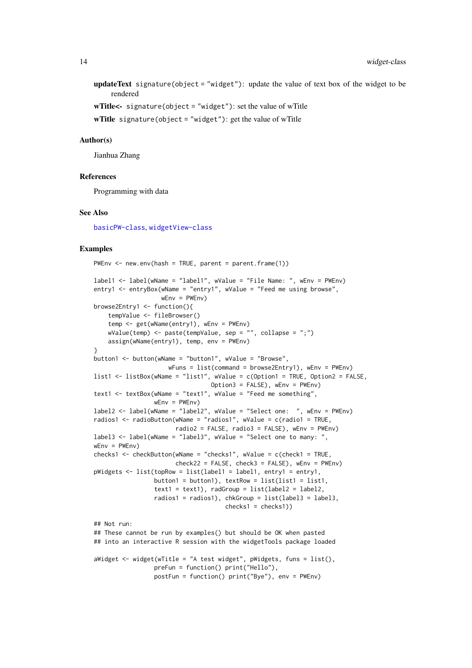updateText signature(object = "widget"): update the value of text box of the widget to be rendered

wTitle $\leq$ - signature(object = "widget"): set the value of wTitle

wTitle signature(object = "widget"): get the value of wTitle

#### Author(s)

Jianhua Zhang

#### References

Programming with data

#### See Also

[basicPW-class](#page-1-1), [widgetView-class](#page-14-1)

#### Examples

```
PWEnv \leq new.env(hash = TRUE, parent = parent.frame(1))
label1 <- label(wName = "label1", wValue = "File Name: ", wEnv = PWEnv)
entry1 <- entryBox(wName = "entry1", wValue = "Feed me using browse",
                   wEnv = PWEnv)browse2Entry1 <- function(){
    tempValue <- fileBrowser()
    temp <- get(wName(entry1), wEnv = PWEnv)
    wValue(temp) <- paste(tempValue, sep = "", collapse = ";")
    assign(wName(entry1), temp, env = PWEnv)
}
button1 <- button(wName = "button1", wValue = "Browse",
                     wFuns = list(command = browse2Entry1), wEnv = PWEnv)
list1 <- listBox(wName = "list1", wValue = c(Option1 = TRUE, Option2 = FALSE,
                                Option3 = FALSE), wEnv = PWEnv)
text1 <- textBox(wName = "text1", wValue = "Feed me something",
                 wEnv = PWEnvlabel2 <- label(wName = "label2", wValue = "Select one: ", wEnv = PWEnv)
radios1 <- radioButton(wName = "radios1", wValue = c(radio1 = TRUE,
                       radio2 = FALSE, radio3 = FALSE), wEnv = PWEnv)
label3 <- label(wName = "label3", wValue = "Select one to many: ",
wEnv = PWEnvchecks1 <- checkButton(wName = "checks1", wValue = c(check1 = TRUE,
                      check22 = FALSE, check3 = FALSE), wEnv = PWEnv)pWidgets <- list(topRow = list(label1 = label1, entry1 = entry1,
                 button1 = button1), textRow = list(list1 = list1,text1 = text1), radGroup = list(label2 = label2,radios1 = radios1), chkGroup = list(label3 = label3,
                                     checks1 = checks1))
## Not run:
## These cannot be run by examples() but should be OK when pasted
## into an interactive R session with the widgetTools package loaded
aWidget \leq widget(wTitle = "A test widget", pWidgets, funs = list(),
                 preFun = function() print("Hello"),
                 postFun = function() print("Bye"), env = PWEnv)
```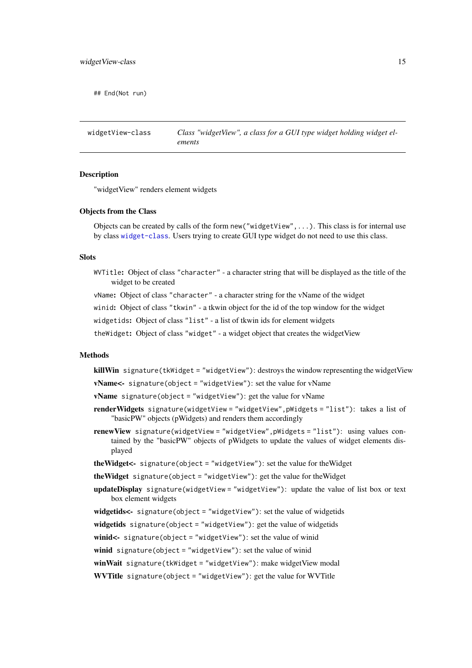<span id="page-14-0"></span>## End(Not run)

<span id="page-14-1"></span>widgetView-class *Class "widgetView", a class for a GUI type widget holding widget elements*

#### Description

"widgetView" renders element widgets

#### Objects from the Class

Objects can be created by calls of the form new("widgetView",...). This class is for internal use by class [widget-class](#page-12-1). Users trying to create GUI type widget do not need to use this class.

## Slots

WVTitle: Object of class "character" - a character string that will be displayed as the title of the widget to be created

vName: Object of class "character" - a character string for the vName of the widget

winid: Object of class "tkwin" - a tkwin object for the id of the top window for the widget

widgetids: Object of class "list" - a list of tkwin ids for element widgets

theWidget: Object of class "widget" - a widget object that creates the widgetView

#### Methods

killWin signature(tkWidget = "widgetView"): destroys the window representing the widgetView

vName<- signature(object = "widgetView"): set the value for vName

**vName** signature(object = "widgetView"): get the value for vName

- renderWidgets signature(widgetView = "widgetView",pWidgets = "list"): takes a list of "basicPW" objects (pWidgets) and renders them accordingly
- renewView signature(widgetView = "widgetView",pWidgets = "list"): using values contained by the "basicPW" objects of pWidgets to update the values of widget elements displayed
- theWidget<- signature(object = "widgetView"): set the value for theWidget
- theWidget signature(object = "widgetView"): get the value for theWidget
- updateDisplay signature(widgetView = "widgetView"): update the value of list box or text box element widgets

widgetids<- signature(object = "widgetView"): set the value of widgetids

widgetids signature(object = "widgetView"): get the value of widgetids

winid<- signature(object = "widgetView"): set the value of winid

winid signature(object = "widgetView"): set the value of winid

winWait signature(tkWidget = "widgetView"): make widgetView modal

WVTitle signature(object = "widgetView"): get the value for WVTitle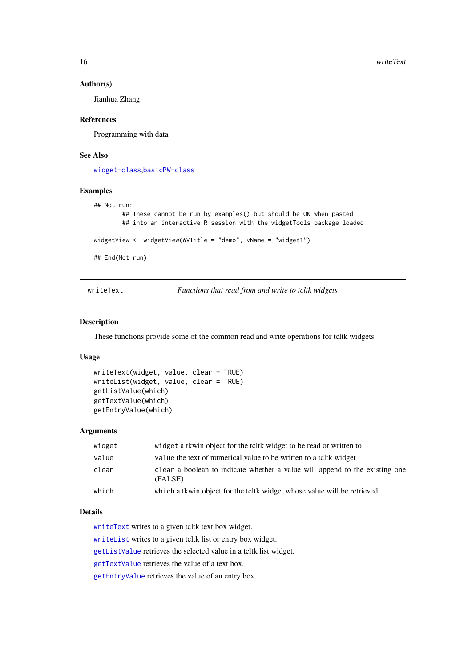<span id="page-15-0"></span>16 writeText

#### Author(s)

Jianhua Zhang

#### References

Programming with data

#### See Also

[widget-class](#page-12-1),[basicPW-class](#page-1-1)

#### Examples

```
## Not run:
        ## These cannot be run by examples() but should be OK when pasted
        ## into an interactive R session with the widgetTools package loaded
widgetView <- widgetView(WVTitle = "demo", vName = "widget1")
## End(Not run)
```
<span id="page-15-1"></span>writeText *Functions that read from and write to tcltk widgets*

## <span id="page-15-2"></span>Description

These functions provide some of the common read and write operations for tcltk widgets

#### Usage

```
writeText(widget, value, clear = TRUE)
writeList(widget, value, clear = TRUE)
getListValue(which)
getTextValue(which)
getEntryValue(which)
```
## Arguments

| widget | widget a tkwin object for the to the widget to be read or written to                   |
|--------|----------------------------------------------------------------------------------------|
| value  | value the text of numerical value to be written to a telt widget                       |
| clear  | clear a boolean to indicate whether a value will append to the existing one<br>(FALSE) |
| which  | which a tkwin object for the toltk widget whose value will be retrieved                |

#### Details

[writeText](#page-15-1) writes to a given tcltk text box widget.

[writeList](#page-15-2) writes to a given tcltk list or entry box widget.

[getListValue](#page-15-2) retrieves the selected value in a tcltk list widget.

[getTextValue](#page-15-2) retrieves the value of a text box.

[getEntryValue](#page-15-2) retrieves the value of an entry box.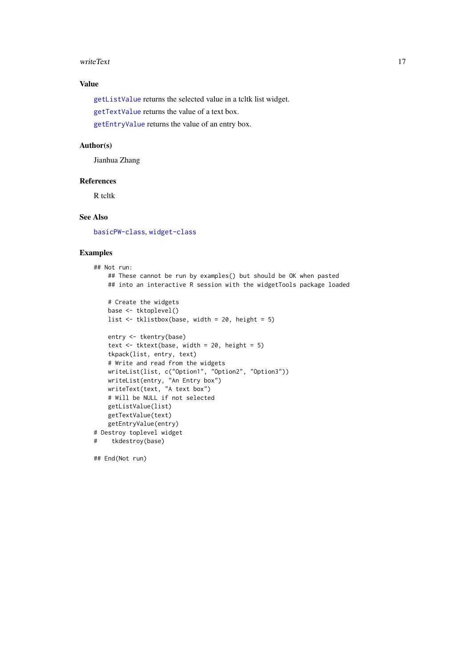#### <span id="page-16-0"></span>writeText 17

## Value

[getListValue](#page-15-2) returns the selected value in a tcltk list widget.

[getTextValue](#page-15-2) returns the value of a text box.

[getEntryValue](#page-15-2) returns the value of an entry box.

## Author(s)

Jianhua Zhang

#### References

R tcltk

## See Also

[basicPW-class](#page-1-1), [widget-class](#page-12-1)

## Examples

```
## Not run:
   ## These cannot be run by examples() but should be OK when pasted
   ## into an interactive R session with the widgetTools package loaded
   # Create the widgets
   base <- tktoplevel()
   list <- tklistbox(base, width = 20, height = 5)
   entry <- tkentry(base)
   text \le tktext(base, width = 20, height = 5)
   tkpack(list, entry, text)
   # Write and read from the widgets
   writeList(list, c("Option1", "Option2", "Option3"))
   writeList(entry, "An Entry box")
   writeText(text, "A text box")
   # Will be NULL if not selected
   getListValue(list)
   getTextValue(text)
   getEntryValue(entry)
# Destroy toplevel widget
# tkdestroy(base)
```
## End(Not run)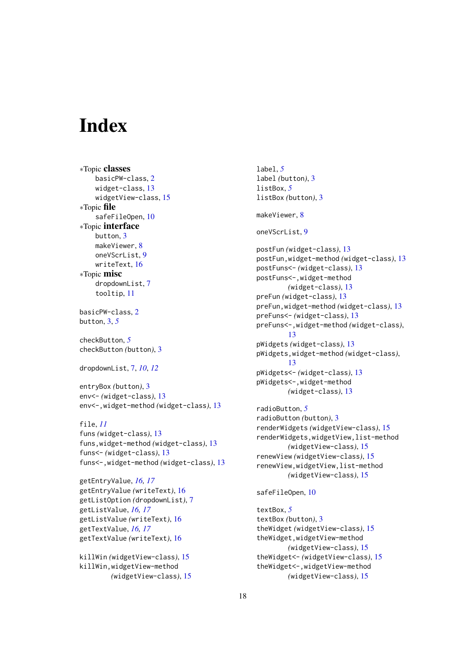# <span id="page-17-0"></span>Index

∗Topic classes basicPW-class, [2](#page-1-0) widget-class, [13](#page-12-0) widgetView-class, [15](#page-14-0) ∗Topic file safeFileOpen, [10](#page-9-0) ∗Topic interface button, [3](#page-2-0) makeViewer, [8](#page-7-0) oneVScrList, [9](#page-8-0) writeText, [16](#page-15-0) ∗Topic misc dropdownList, [7](#page-6-0) tooltip, [11](#page-10-0)

basicPW-class, [2](#page-1-0) button, [3,](#page-2-0) *[5](#page-4-0)*

checkButton, *[5](#page-4-0)* checkButton *(*button*)*, [3](#page-2-0)

dropdownList, [7,](#page-6-0) *[10](#page-9-0)*, *[12](#page-11-0)*

entryBox *(*button*)*, [3](#page-2-0) env<- *(*widget-class*)*, [13](#page-12-0) env<-,widget-method *(*widget-class*)*, [13](#page-12-0)

file, *[11](#page-10-0)* funs *(*widget-class*)*, [13](#page-12-0) funs,widget-method *(*widget-class*)*, [13](#page-12-0) funs<- *(*widget-class*)*, [13](#page-12-0) funs<-,widget-method *(*widget-class*)*, [13](#page-12-0)

```
getEntryValue, 16, 17
getEntryValue (writeText), 16
getListOption (dropdownList), 7
getListValue, 16, 17
getListValue (writeText), 16
getTextValue, 16, 17
getTextValue (writeText), 16
```
killWin *(*widgetView-class*)*, [15](#page-14-0) killWin,widgetView-method *(*widgetView-class*)*, [15](#page-14-0) label, *[5](#page-4-0)* label *(*button*)*, [3](#page-2-0) listBox, *[5](#page-4-0)* listBox *(*button*)*, [3](#page-2-0) makeViewer, [8](#page-7-0) oneVScrList, [9](#page-8-0) postFun *(*widget-class*)*, [13](#page-12-0) postFun,widget-method *(*widget-class*)*, [13](#page-12-0) postFuns<- *(*widget-class*)*, [13](#page-12-0) postFuns<-,widget-method *(*widget-class*)*, [13](#page-12-0) preFun *(*widget-class*)*, [13](#page-12-0) preFun,widget-method *(*widget-class*)*, [13](#page-12-0) preFuns<- *(*widget-class*)*, [13](#page-12-0) preFuns<-,widget-method *(*widget-class*)*, [13](#page-12-0) pWidgets *(*widget-class*)*, [13](#page-12-0) pWidgets,widget-method *(*widget-class*)*, [13](#page-12-0) pWidgets<- *(*widget-class*)*, [13](#page-12-0) pWidgets<-,widget-method *(*widget-class*)*, [13](#page-12-0) radioButton, *[5](#page-4-0)* radioButton *(*button*)*, [3](#page-2-0) renderWidgets *(*widgetView-class*)*, [15](#page-14-0) renderWidgets,widgetView,list-method *(*widgetView-class*)*, [15](#page-14-0) renewView *(*widgetView-class*)*, [15](#page-14-0) renewView,widgetView,list-method *(*widgetView-class*)*, [15](#page-14-0) safeFileOpen, [10](#page-9-0) textBox, *[5](#page-4-0)* textBox *(*button*)*, [3](#page-2-0)

theWidget *(*widgetView-class*)*, [15](#page-14-0) theWidget,widgetView-method *(*widgetView-class*)*, [15](#page-14-0) theWidget<- *(*widgetView-class*)*, [15](#page-14-0) theWidget<-,widgetView-method *(*widgetView-class*)*, [15](#page-14-0)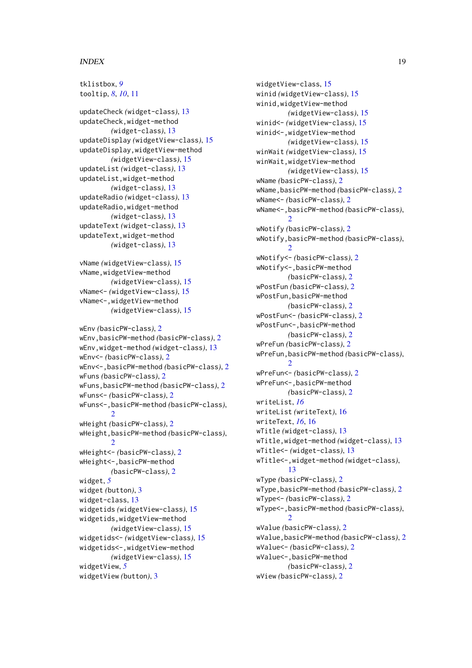### INDEX  $19$

tklistbox, *[9](#page-8-0)* tooltip, *[8](#page-7-0)*, *[10](#page-9-0)*, [11](#page-10-0) updateCheck *(*widget-class*)*, [13](#page-12-0) updateCheck,widget-method *(*widget-class*)*, [13](#page-12-0) updateDisplay *(*widgetView-class*)*, [15](#page-14-0) updateDisplay,widgetView-method *(*widgetView-class*)*, [15](#page-14-0) updateList *(*widget-class*)*, [13](#page-12-0) updateList,widget-method *(*widget-class*)*, [13](#page-12-0) updateRadio *(*widget-class*)*, [13](#page-12-0) updateRadio,widget-method *(*widget-class*)*, [13](#page-12-0) updateText *(*widget-class*)*, [13](#page-12-0) updateText,widget-method *(*widget-class*)*, [13](#page-12-0) vName *(*widgetView-class*)*, [15](#page-14-0) vName,widgetView-method *(*widgetView-class*)*, [15](#page-14-0) vName<- *(*widgetView-class*)*, [15](#page-14-0) vName<-,widgetView-method *(*widgetView-class*)*, [15](#page-14-0) wEnv *(*basicPW-class*)*, [2](#page-1-0) wEnv,basicPW-method *(*basicPW-class*)*, [2](#page-1-0) wEnv,widget-method *(*widget-class*)*, [13](#page-12-0) wEnv<- *(*basicPW-class*)*, [2](#page-1-0) wEnv<-,basicPW-method *(*basicPW-class*)*, [2](#page-1-0) wFuns *(*basicPW-class*)*, [2](#page-1-0) wFuns,basicPW-method *(*basicPW-class*)*, [2](#page-1-0) wFuns<- *(*basicPW-class*)*, [2](#page-1-0) wFuns<-,basicPW-method *(*basicPW-class*)*,  $\overline{2}$  $\overline{2}$  $\overline{2}$ wHeight *(*basicPW-class*)*, [2](#page-1-0) wHeight,basicPW-method *(*basicPW-class*)*, [2](#page-1-0) wHeight<- *(*basicPW-class*)*, [2](#page-1-0) wHeight<-,basicPW-method *(*basicPW-class*)*, [2](#page-1-0) widget, *[5](#page-4-0)* widget *(*button*)*, [3](#page-2-0) widget-class, [13](#page-12-0)

widgetids *(*widgetView-class*)*, [15](#page-14-0) widgetids,widgetView-method

widgetView, *[5](#page-4-0)*

widgetView *(*button*)*, [3](#page-2-0)

*(*widgetView-class*)*, [15](#page-14-0) widgetids<- *(*widgetView-class*)*, [15](#page-14-0) widgetids<-,widgetView-method

*(*widgetView-class*)*, [15](#page-14-0)

widgetView-class, [15](#page-14-0) winid *(*widgetView-class*)*, [15](#page-14-0) winid,widgetView-method *(*widgetView-class*)*, [15](#page-14-0) winid<- *(*widgetView-class*)*, [15](#page-14-0) winid<-,widgetView-method *(*widgetView-class*)*, [15](#page-14-0) winWait *(*widgetView-class*)*, [15](#page-14-0) winWait,widgetView-method *(*widgetView-class*)*, [15](#page-14-0) wName *(*basicPW-class*)*, [2](#page-1-0) wName,basicPW-method *(*basicPW-class*)*, [2](#page-1-0) wName<- *(*basicPW-class*)*, [2](#page-1-0) wName<-,basicPW-method *(*basicPW-class*)*,  $\mathcal{D}$ wNotify *(*basicPW-class*)*, [2](#page-1-0) wNotify,basicPW-method *(*basicPW-class*)*, [2](#page-1-0) wNotify<- *(*basicPW-class*)*, [2](#page-1-0) wNotify<-,basicPW-method *(*basicPW-class*)*, [2](#page-1-0) wPostFun *(*basicPW-class*)*, [2](#page-1-0) wPostFun,basicPW-method *(*basicPW-class*)*, [2](#page-1-0) wPostFun<- *(*basicPW-class*)*, [2](#page-1-0) wPostFun<-,basicPW-method *(*basicPW-class*)*, [2](#page-1-0) wPreFun *(*basicPW-class*)*, [2](#page-1-0) wPreFun,basicPW-method *(*basicPW-class*)*,  $\mathcal{L}$ wPreFun<- *(*basicPW-class*)*, [2](#page-1-0) wPreFun<-,basicPW-method *(*basicPW-class*)*, [2](#page-1-0) writeList, *[16](#page-15-0)* writeList *(*writeText*)*, [16](#page-15-0) writeText, *[16](#page-15-0)*, [16](#page-15-0) wTitle *(*widget-class*)*, [13](#page-12-0) wTitle,widget-method *(*widget-class*)*, [13](#page-12-0) wTitle<- *(*widget-class*)*, [13](#page-12-0) wTitle<-,widget-method *(*widget-class*)*, [13](#page-12-0) wType *(*basicPW-class*)*, [2](#page-1-0) wType,basicPW-method *(*basicPW-class*)*, [2](#page-1-0) wType<- *(*basicPW-class*)*, [2](#page-1-0) wType<-,basicPW-method *(*basicPW-class*)*,  $\mathcal{D}$ wValue *(*basicPW-class*)*, [2](#page-1-0) wValue,basicPW-method *(*basicPW-class*)*, [2](#page-1-0) wValue<- *(*basicPW-class*)*, [2](#page-1-0) wValue<-,basicPW-method *(*basicPW-class*)*, [2](#page-1-0) wView *(*basicPW-class*)*, [2](#page-1-0)